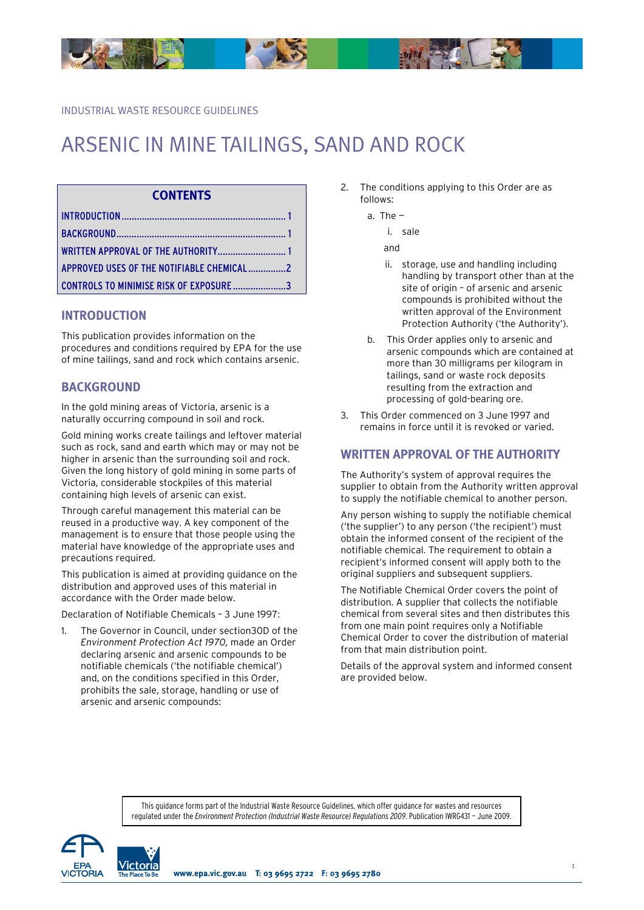## <span id="page-0-0"></span>INDUSTRIAL WASTE RESOURCE GUIDELINES

# ARSENIC IN MINE TAILINGS, SAND AND ROCK

## **CONTENTS**

| CONTROLS TO MINIMISE RISK OF EXPOSURE 3 |
|-----------------------------------------|

# **INTRODUCTION**

This publication provides information on the procedures and conditions required by EPA for the use of mine tailings, sand and rock which contains arsenic.

# **BACKGROUND**

In the gold mining areas of Victoria, arsenic is a naturally occurring compound in soil and rock.

Gold mining works create tailings and leftover material such as rock, sand and earth which may or may not be higher in arsenic than the surrounding soil and rock. Given the long history of gold mining in some parts of Victoria, considerable stockpiles of this material containing high levels of arsenic can exist.

Through careful management this material can be reused in a productive way. A key component of the management is to ensure that those people using the material have knowledge of the appropriate uses and precautions required.

This publication is aimed at providing guidance on the distribution and approved uses of this material in accordance with the Order made below.

Declaration of Notifiable Chemicals – 3 June 1997:

1. The Governor in Council, under section30D of the *Environment Protection Act 1970,* made an Order declaring arsenic and arsenic compounds to be notifiable chemicals ('the notifiable chemical') and, on the conditions specified in this Order, prohibits the sale, storage, handling or use of arsenic and arsenic compounds:

- 2. The conditions applying to this Order are as follows:
	- a. The  $$ 
		- i. sale

and

- ii. storage, use and handling including handling by transport other than at the site of origin – of arsenic and arsenic compounds is prohibited without the written approval of the Environment Protection Authority ('the Authority').
- b. This Order applies only to arsenic and arsenic compounds which are contained at more than 30 milligrams per kilogram in tailings, sand or waste rock deposits resulting from the extraction and processing of gold-bearing ore.
- 3. This Order commenced on 3 June 1997 and remains in force until it is revoked or varied.

## **WRITTEN APPROVAL OF THE AUTHORITY**

The Authority's system of approval requires the supplier to obtain from the Authority written approval to supply the notifiable chemical to another person.

Any person wishing to supply the notifiable chemical ('the supplier') to any person ('the recipient') must obtain the informed consent of the recipient of the notifiable chemical. The requirement to obtain a recipient's informed consent will apply both to the original suppliers and subsequent suppliers.

The Notifiable Chemical Order covers the point of distribution. A supplier that collects the notifiable chemical from several sites and then distributes this from one main point requires only a Notifiable Chemical Order to cover the distribution of material from that main distribution point.

Details of the approval system and informed consent are provided below.

This guidance forms part of the Industrial Waste Resource Guidelines, which offer guidance for wastes and resources regulated under the *Environment Protection (Industrial Waste Resource) Regulations 2009*. Publication IWRG431 — June 2009.

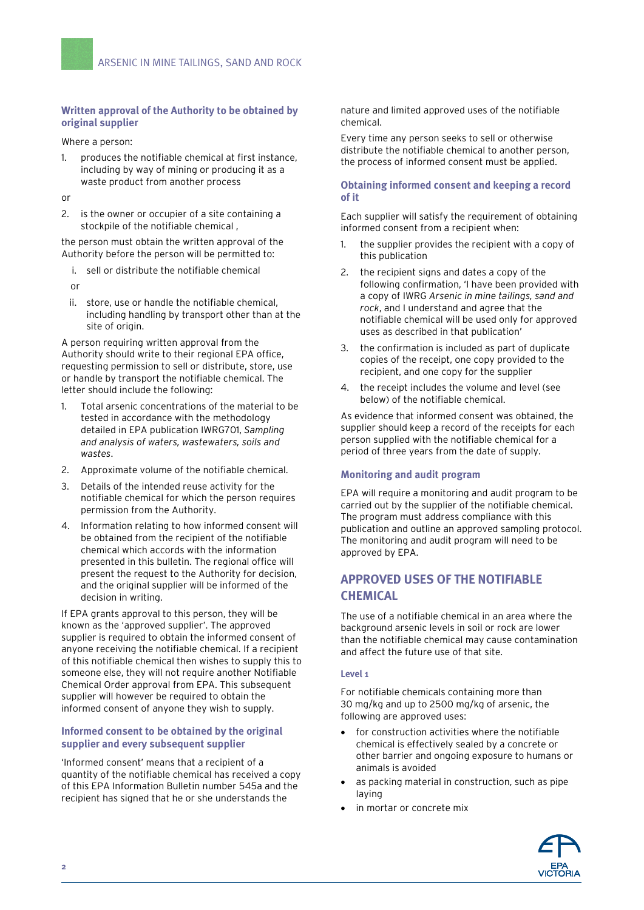#### <span id="page-1-0"></span>**Written approval of the Authority to be obtained by original supplier**

Where a person:

1. produces the notifiable chemical at first instance, including by way of mining or producing it as a waste product from another process

or

2. is the owner or occupier of a site containing a stockpile of the notifiable chemical ,

the person must obtain the written approval of the Authority before the person will be permitted to:

i. sell or distribute the notifiable chemical

or

ii. store, use or handle the notifiable chemical, including handling by transport other than at the site of origin.

A person requiring written approval from the Authority should write to their regional EPA office, requesting permission to sell or distribute, store, use or handle by transport the notifiable chemical. The letter should include the following:

- 1. Total arsenic concentrations of the material to be tested in accordance with the methodology detailed in EPA publication IWRG701, *Sampling and analysis of waters, wastewaters, soils and wastes*.
- 2. Approximate volume of the notifiable chemical.
- 3. Details of the intended reuse activity for the notifiable chemical for which the person requires permission from the Authority.
- 4. Information relating to how informed consent will be obtained from the recipient of the notifiable chemical which accords with the information presented in this bulletin. The regional office will present the request to the Authority for decision, and the original supplier will be informed of the decision in writing.

If EPA grants approval to this person, they will be known as the 'approved supplier'. The approved supplier is required to obtain the informed consent of anyone receiving the notifiable chemical. If a recipient of this notifiable chemical then wishes to supply this to someone else, they will not require another Notifiable Chemical Order approval from EPA. This subsequent supplier will however be required to obtain the informed consent of anyone they wish to supply.

#### **Informed consent to be obtained by the original supplier and every subsequent supplier**

'Informed consent' means that a recipient of a quantity of the notifiable chemical has received a copy of this EPA Information Bulletin number 545a and the recipient has signed that he or she understands the

nature and limited approved uses of the notifiable chemical.

Every time any person seeks to sell or otherwise distribute the notifiable chemical to another person, the process of informed consent must be applied.

#### **Obtaining informed consent and keeping a record of it**

Each supplier will satisfy the requirement of obtaining informed consent from a recipient when:

- 1. the supplier provides the recipient with a copy of this publication
- 2. the recipient signs and dates a copy of the following confirmation, 'I have been provided with a copy of IWRG *Arsenic in mine tailings, sand and rock*, and I understand and agree that the notifiable chemical will be used only for approved uses as described in that publication'
- 3. the confirmation is included as part of duplicate copies of the receipt, one copy provided to the recipient, and one copy for the supplier
- 4. the receipt includes the volume and level (see below) of the notifiable chemical.

As evidence that informed consent was obtained, the supplier should keep a record of the receipts for each person supplied with the notifiable chemical for a period of three years from the date of supply.

#### **Monitoring and audit program**

EPA will require a monitoring and audit program to be carried out by the supplier of the notifiable chemical. The program must address compliance with this publication and outline an approved sampling protocol. The monitoring and audit program will need to be approved by EPA.

# **APPROVED USES OF THE NOTIFIABLE CHEMICAL**

The use of a notifiable chemical in an area where the background arsenic levels in soil or rock are lower than the notifiable chemical may cause contamination and affect the future use of that site.

#### **Level 1**

For notifiable chemicals containing more than 30 mg/kg and up to 2500 mg/kg of arsenic, the following are approved uses:

- for construction activities where the notifiable chemical is effectively sealed by a concrete or other barrier and ongoing exposure to humans or animals is avoided
- as packing material in construction, such as pipe laying
- in mortar or concrete mix